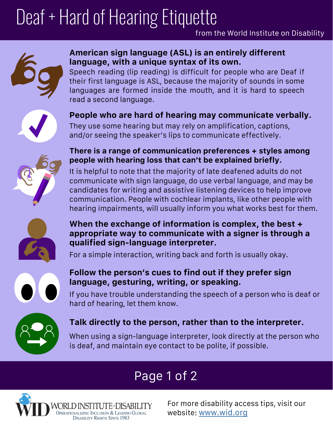# Deaf + Hard of Hearing Etiquette



### **American sign language (ASL) is an entirely different language, with a unique syntax of its own.**

Speech reading (lip reading) is difficult for people who are Deaf if their first language is ASL, because the majority of sounds in some languages are formed inside the mouth, and it is hard to speech read a second language.



# **People who are hard of hearing may communicate verbally.**

They use some hearing but may rely on amplification, captions, and/or seeing the speaker's lips to communicate effectively.



### **There is a range of communication preferences + styles among people with hearing loss that can't be explained briefly.**

It is helpful to note that the majority of late deafened adults do not communicate with sign language, do use verbal language, and may be candidates for writing and assistive listening devices to help improve communication. People with cochlear implants, like other people with hearing impairments, will usually inform you what works best for them.



### **When the exchange of information is complex, the best + appropriate way to communicate with a signer is through a qualified sign-language interpreter.**

For a simple interaction, writing back and forth is usually okay.



## **Follow the person's cues to find out if they prefer sign language, gesturing, writing, or speaking.**

If you have trouble understanding the speech of a person who is deaf or hard of hearing, let them know.



# **Talk directly to the person, rather than to the interpreter.**

When using a sign-language interpreter, look directly at the person who is deaf, and maintain eye contact to be polite, if possible.

# Page 1 of 2



For more disability access tips, visit our website: [www.wid.org](http://www.wid.org)